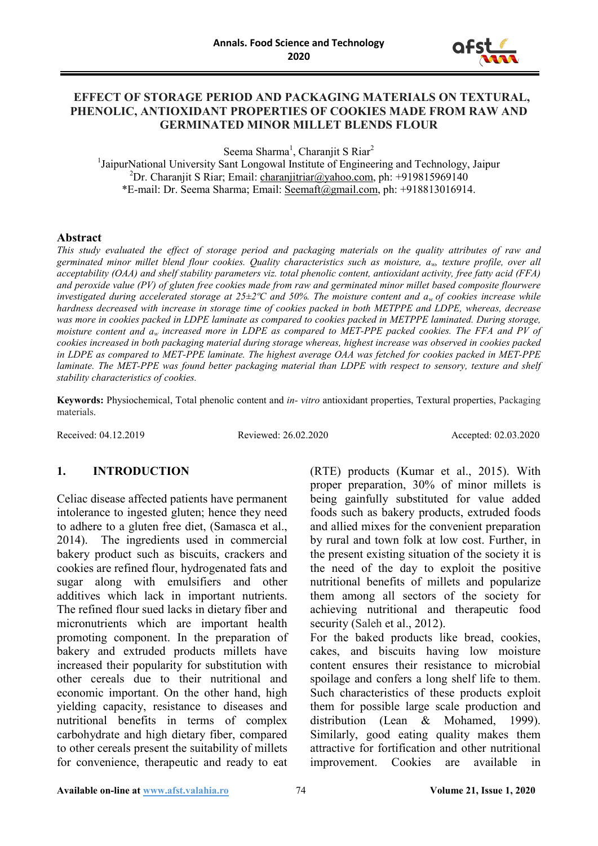

## **EFFECT OF STORAGE PERIOD AND PACKAGING MATERIALS ON TEXTURAL, PHENOLIC, ANTIOXIDANT PROPERTIES OF COOKIES MADE FROM RAW AND GERMINATED MINOR MILLET BLENDS FLOUR**

Seema Sharma<sup>1</sup>, Charanjit S Riar<sup>2</sup>

<sup>1</sup>JaipurNational University Sant Longowal Institute of Engineering and Technology, Jaipur <sup>2</sup>Dr. Charanjit S Riar; Email: <u>charanjitriar@yahoo.com</u>, ph: +919815969140 \*E-mail: Dr. Seema Sharma; Email: [Seemaft@gmail.com,](mailto:Seemaft@gmail.com) ph: +918813016914.

#### **Abstract**

*This study evaluated the effect of storage period and packaging materials on the quality attributes of raw and germinated minor millet blend flour cookies. Quality characteristics such as moisture, aw, texture profile, over all acceptability (OAA) and shelf stability parameters viz. total phenolic content, antioxidant activity, free fatty acid (FFA) and peroxide value (PV) of gluten free cookies made from raw and germinated minor millet based composite flourwere investigated during accelerated storage at 25±2ºC and 50%. The moisture content and aw of cookies increase while hardness decreased with increase in storage time of cookies packed in both METPPE and LDPE, whereas, decrease*  was more in cookies packed in LDPE laminate as compared to cookies packed in METPPE laminated. During storage, *moisture content and aw increased more in LDPE as compared to MET-PPE packed cookies. The FFA and PV of cookies increased in both packaging material during storage whereas, highest increase was observed in cookies packed in LDPE as compared to MET-PPE laminate. The highest average OAA was fetched for cookies packed in MET-PPE laminate. The MET-PPE was found better packaging material than LDPE with respect to sensory, texture and shelf stability characteristics of cookies.* 

**Keywords:** Physiochemical, Total phenolic content and *in- vitro* antioxidant properties, Textural properties, Packaging materials.

Received: 04.12.2019 Reviewed: 26.02.2020 Accepted: 02.03.2020

# **1. INTRODUCTION**

Celiac disease affected patients have permanent intolerance to ingested gluten; hence they need to adhere to a gluten free diet, (Samasca et al., 2014). The ingredients used in commercial bakery product such as biscuits, crackers and cookies are refined flour, hydrogenated fats and sugar along with emulsifiers and other additives which lack in important nutrients. The refined flour sued lacks in dietary fiber and micronutrients which are important health promoting component. In the preparation of bakery and extruded products millets have increased their popularity for substitution with other cereals due to their nutritional and economic important. On the other hand, high yielding capacity, resistance to diseases and nutritional benefits in terms of complex carbohydrate and high dietary fiber, compared to other cereals present the suitability of millets for convenience, therapeutic and ready to eat

(RTE) products (Kumar et al., 2015). With proper preparation, 30% of minor millets is being gainfully substituted for value added foods such as bakery products, extruded foods and allied mixes for the convenient preparation by rural and town folk at low cost. Further, in the present existing situation of the society it is the need of the day to exploit the positive nutritional benefits of millets and popularize them among all sectors of the society for achieving nutritional and therapeutic food security (Saleh et al., 2012). For the baked products like bread, cookies, cakes, and biscuits having low moisture content ensures their resistance to microbial spoilage and confers a long shelf life to them. Such characteristics of these products exploit them for possible large scale production and distribution (Lean & Mohamed, 1999). Similarly, good eating quality makes them

attractive for fortification and other nutritional improvement. Cookies are available in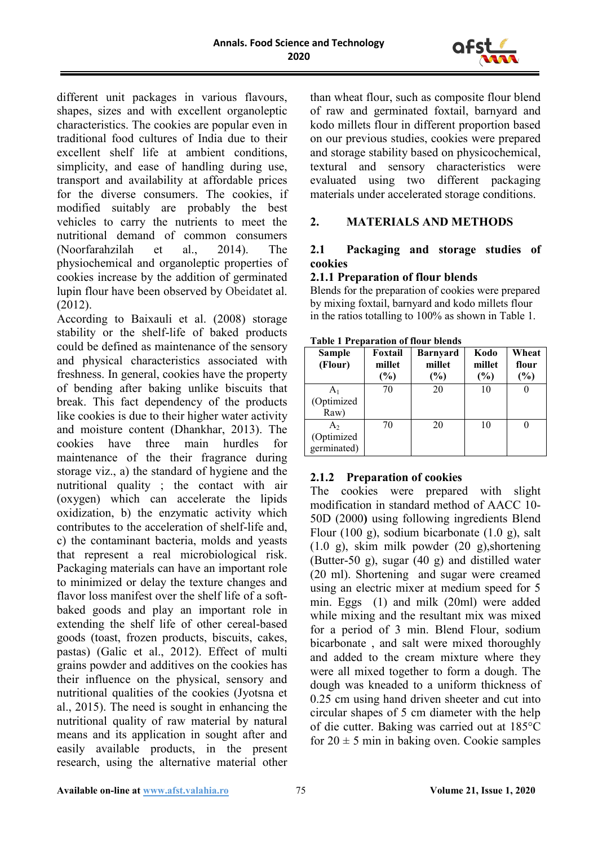

different unit packages in various flavours, shapes, sizes and with excellent organoleptic characteristics. The cookies are popular even in traditional food cultures of India due to their excellent shelf life at ambient conditions, simplicity, and ease of handling during use, transport and availability at affordable prices for the diverse consumers. The cookies, if modified suitably are probably the best vehicles to carry the nutrients to meet the nutritional demand of common consumers (Noorfarahzilah et al., 2014). The physiochemical and organoleptic properties of cookies increase by the addition of germinated lupin flour have been observed by Obeidatet al.  $(2012).$ 

According to Baixauli et al. (2008) storage stability or the shelf-life of baked products could be defined as maintenance of the sensory and physical characteristics associated with freshness. In general, cookies have the property of bending after baking unlike biscuits that break. This fact dependency of the products like cookies is due to their higher water activity and moisture content (Dhankhar, 2013). The cookies have three main hurdles for maintenance of the their fragrance during storage viz., a) the standard of hygiene and the nutritional quality ; the contact with air (oxygen) which can accelerate the lipids oxidization, b) the enzymatic activity which contributes to the acceleration of shelf-life and, c) the contaminant bacteria, molds and yeasts that represent a real microbiological risk. Packaging materials can have an important role to minimized or delay the texture changes and flavor loss manifest over the shelf life of a softbaked goods and play an important role in extending the shelf life of other cereal-based goods (toast, frozen products, biscuits, cakes, pastas) (Galic et al., 2012). Effect of multi grains powder and additives on the cookies has their influence on the physical, sensory and nutritional qualities of the cookies (Jyotsna et al., 2015). The need is sought in enhancing the nutritional quality of raw material by natural means and its application in sought after and easily available products, in the present research, using the alternative material other

than wheat flour, such as composite flour blend of raw and germinated foxtail, barnyard and kodo millets flour in different proportion based on our previous studies, cookies were prepared and storage stability based on physicochemical, textural and sensory characteristics were evaluated using two different packaging materials under accelerated storage conditions.

# **2. MATERIALS AND METHODS**

## **2.1 Packaging and storage studies of cookies**

## **2.1.1 Preparation of flour blends**

Blends for the preparation of cookies were prepared by mixing foxtail, barnyard and kodo millets flour in the ratios totalling to 100% as shown in Table 1.

| <b>Table 1 Preparation of flour blends</b> |         |          |        |  |  |  |  |  |
|--------------------------------------------|---------|----------|--------|--|--|--|--|--|
| <b>Sample</b>                              | Foxtail | Barnyard | Kodo   |  |  |  |  |  |
| (Flour)                                    | millet  | millet   | millet |  |  |  |  |  |

| Sample<br>(Flour)                           | Foxtail<br>millet<br>(%) | <b>Barnyard</b><br>millet<br>(%) | Kodo<br>millet<br>(%) | Wheat<br>flour<br>(%) |
|---------------------------------------------|--------------------------|----------------------------------|-----------------------|-----------------------|
| A <sub>1</sub><br>(Optimized<br>Raw)        | 70                       | 20                               | 10                    |                       |
| A <sub>2</sub><br>(Optimized<br>germinated) | 70                       | 20                               | 10                    |                       |

# **2.1.2 Preparation of cookies**

The cookies were prepared with slight modification in standard method of AACC 10- 50D (2000**)** using following ingredients Blend Flour (100 g), sodium bicarbonate (1.0 g), salt (1.0 g), skim milk powder (20 g),shortening (Butter-50 g), sugar (40 g) and distilled water (20 ml). Shortening and sugar were creamed using an electric mixer at medium speed for 5 min. Eggs (1) and milk (20ml) were added while mixing and the resultant mix was mixed for a period of 3 min. Blend Flour, sodium bicarbonate , and salt were mixed thoroughly and added to the cream mixture where they were all mixed together to form a dough. The dough was kneaded to a uniform thickness of 0.25 cm using hand driven sheeter and cut into circular shapes of 5 cm diameter with the help of die cutter. Baking was carried out at 185°C for  $20 \pm 5$  min in baking oven. Cookie samples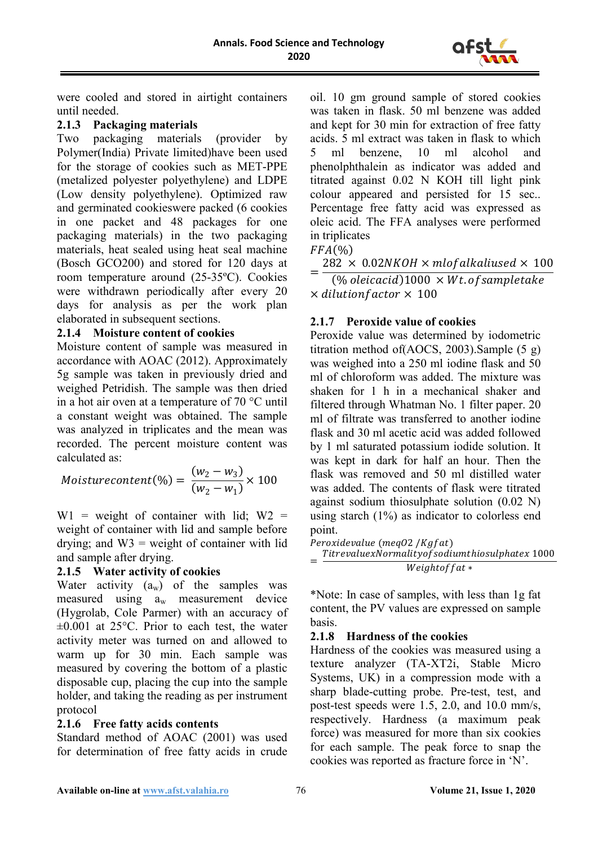

were cooled and stored in airtight containers until needed.

# **2.1.3 Packaging materials**

 $(provider$  by Polymer(India) Private limited)have been used for the storage of cookies such as MET-PPE (metalized polyester polyethylene) and LDPE (Low density polyethylene). Optimized raw and germinated cookieswere packed (6 cookies in one packet and 48 packages for one packaging materials) in the two packaging materials, heat sealed using heat seal machine (Bosch GCO200) and stored for 120 days at room temperature around (25-35ºC). Cookies were withdrawn periodically after every 20 days for analysis as per the work plan elaborated in subsequent sections.

# **2.1.4 Moisture content of cookies**

Moisture content of sample was measured in accordance with AOAC (2012). Approximately 5g sample was taken in previously dried and weighed Petridish. The sample was then dried in a hot air oven at a temperature of 70 °C until a constant weight was obtained. The sample was analyzed in triplicates and the mean was recorded. The percent moisture content was calculated as:

$$
Moisturecontent(\%) = \frac{(w_2 - w_3)}{(w_2 - w_1)} \times 100
$$

 $W1$  = weight of container with lid;  $W2$  = weight of container with lid and sample before drying; and  $W3$  = weight of container with lid and sample after drying.

# **2.1.5 Water activity of cookies**

Water activity  $(a_w)$  of the samples was measured using  $a_w$  measurement device (Hygrolab, Cole Parmer) with an accuracy of  $\pm 0.001$  at 25°C. Prior to each test, the water activity meter was turned on and allowed to warm up for 30 min. Each sample was measured by covering the bottom of a plastic disposable cup, placing the cup into the sample holder, and taking the reading as per instrument protocol

# **2.1.6 Free fatty acids contents**

Standard method of AOAC (2001) was used for determination of free fatty acids in crude

oil. 10 gm ground sample of stored cookies was taken in flask. 50 ml benzene was added and kept for 30 min for extraction of free fatty acids. 5 ml extract was taken in flask to which 5 ml benzene, 10 ml alcohol and phenolphthalein as indicator was added and titrated against 0.02 N KOH till light pink colour appeared and persisted for 15 sec.. Percentage free fatty acid was expressed as oleic acid. The FFA analyses were performed in triplicates

 $FFA(\%)$ <br>282 × 0.02NKOH × mlof alkaliused × 100  $=\frac{282\times0.02NKOH\times molofalkallused\times 100}{(%olecacid)1000\times Wt of sampletake}$  $(W_0 \,oleic acid)$ 1000 × Wt. of samp  $\times$  dilution factor  $\times$  100

# **2.1.7 Peroxide value of cookies**

Peroxide value was determined by iodometric titration method of  $(AOCS, 2003)$ . Sample  $(5 g)$ was weighed into a 250 ml iodine flask and 50 ml of chloroform was added. The mixture was shaken for 1 h in a mechanical shaker and filtered through Whatman No. 1 filter paper. 20 ml of filtrate was transferred to another iodine flask and 30 ml acetic acid was added followed by 1 ml saturated potassium iodide solution. It was kept in dark for half an hour. Then the flask was removed and 50 ml distilled water was added. The contents of flask were titrated against sodium thiosulphate solution (0.02 N) using starch (1%) as indicator to colorless end point.

Peroxidevalue (megO2 / $Kgfat$ )

 $=$   $Titrevaluex\allowbreak \hat{N}ormality of sodium this sulphate x\allowbreak \allowbreak \; 1000$ Weightoffat \*

\*Note: In case of samples, with less than 1g fat content, the PV values are expressed on sample basis.

# **2.1.8 Hardness of the cookies**

Hardness of the cookies was measured using a texture analyzer (TA-XT2i, Stable Micro Systems, UK) in a compression mode with a sharp blade-cutting probe. Pre-test, test, and post-test speeds were 1.5, 2.0, and 10.0 mm/s, respectively. Hardness (a maximum peak force) was measured for more than six cookies for each sample. The peak force to snap the cookies was reported as fracture force in 'N'.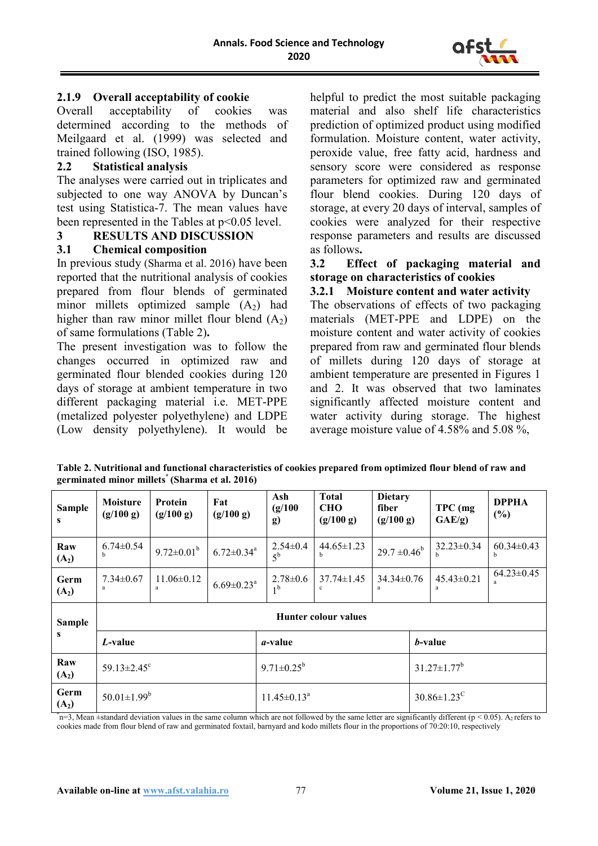

# **2.1.9 Overall acceptability of cookie**

Overall acceptability of cookies was determined according to the methods of Meilgaard et al. (1999) was selected and trained following (ISO, 1985).

# **2.2 Statistical analysis**

The analyses were carried out in triplicates and subjected to one way ANOVA by Duncan's test using Statistica-7. The mean values have been represented in the Tables at  $p<0.05$  level.

## **3 RESULTS AND DISCUSSION**

## **3.1 Chemical composition**

In previous study (Sharma et al. 2016) have been reported that the nutritional analysis of cookies prepared from flour blends of germinated minor millets optimized sample  $(A_2)$  had higher than raw minor millet flour blend  $(A<sub>2</sub>)$ of same formulations (Table 2)**.**

The present investigation was to follow the changes occurred in optimized raw and germinated flour blended cookies during 120 days of storage at ambient temperature in two different packaging material i.e. MET-PPE (metalized polyester polyethylene) and LDPE (Low density polyethylene). It would be helpful to predict the most suitable packaging material and also shelf life characteristics prediction of optimized product using modified formulation. Moisture content, water activity, peroxide value, free fatty acid, hardness and sensory score were considered as response parameters for optimized raw and germinated flour blend cookies. During 120 days of storage, at every 20 days of interval, samples of cookies were analyzed for their respective response parameters and results are discussed as follows**.**

## **3.2 Effect of packaging material and storage on characteristics of cookies**

## **3.2.1 Moisture content and water activity**

The observations of effects of two packaging materials (MET-PPE and LDPE) on the moisture content and water activity of cookies prepared from raw and germinated flour blends of millets during 120 days of storage at ambient temperature are presented in Figures 1 and 2. It was observed that two laminates significantly affected moisture content and water activity during storage. The highest average moisture value of 4.58% and 5.08 %,

| Table 2. Nutritional and functional characteristics of cookies prepared from optimized flour blend of raw and |
|---------------------------------------------------------------------------------------------------------------|
| germinated minor millets <sup>*</sup> (Sharma et al. 2016)                                                    |

| <b>Sample</b><br>S | Moisture<br>(g/100 g)       | Protein<br>(g/100 g)        | Fat<br>(g/100 g)             | Ash<br>(g/100)<br>g)             | <b>Total</b><br><b>CHO</b><br>(g/100 g) | <b>Dietary</b><br>fiber<br>(g/100 g) |                               | TPC (mg)<br>GAE/g      | <b>DPPHA</b><br>(%)   |  |  |
|--------------------|-----------------------------|-----------------------------|------------------------------|----------------------------------|-----------------------------------------|--------------------------------------|-------------------------------|------------------------|-----------------------|--|--|
| Raw<br>$(A_2)$     | $6.74 \pm 0.54$             | $9.72 \pm 0.01^b$           | $6.72 \pm 0.34$ <sup>a</sup> | $2.54 \pm 0.4$<br>$5^{\rm b}$    | $44.65 \pm 1.23$<br>h                   | $29.7 \pm 0.46^b$                    |                               | $32.23 \pm 0.34$<br>b. | $60.34 \pm 0.43$      |  |  |
| Germ<br>$(A_2)$    | $7.34 \pm 0.67$             | $11.06 \pm 0.12$<br>a       | $6.69 \pm 0.23$ <sup>a</sup> | $2.78 \pm 0.6$<br>1 <sup>b</sup> | $37.74 \pm 1.45$                        | $34.34 \pm 0.76$                     |                               | $45.43 \pm 0.21$<br>a  | $64.23 \pm 0.45$<br>a |  |  |
| <b>Sample</b>      |                             | <b>Hunter colour values</b> |                              |                                  |                                         |                                      |                               |                        |                       |  |  |
| S                  | L-value                     |                             |                              | <i>a</i> -value                  |                                         |                                      | <i>b</i> -value               |                        |                       |  |  |
| Raw<br>$(A_2)$     | 59.13 $\pm$ 2.45 $^{\circ}$ |                             |                              | $9.71 \pm 0.25^b$                |                                         |                                      | $31.27 \pm 1.77$ <sup>b</sup> |                        |                       |  |  |
| Germ<br>$(A_2)$    | $50.01 \pm 1.99^b$          |                             |                              | $11.45 \pm 0.13^a$               |                                         |                                      | $30.86 \pm 1.23$ <sup>C</sup> |                        |                       |  |  |

 $n=3$ , Mean  $\pm$ standard deviation values in the same column which are not followed by the same letter are significantly different (p < 0.05). A2 refers to cookies made from flour blend of raw and germinated foxtail, barnyard and kodo millets flour in the proportions of 70:20:10, respectively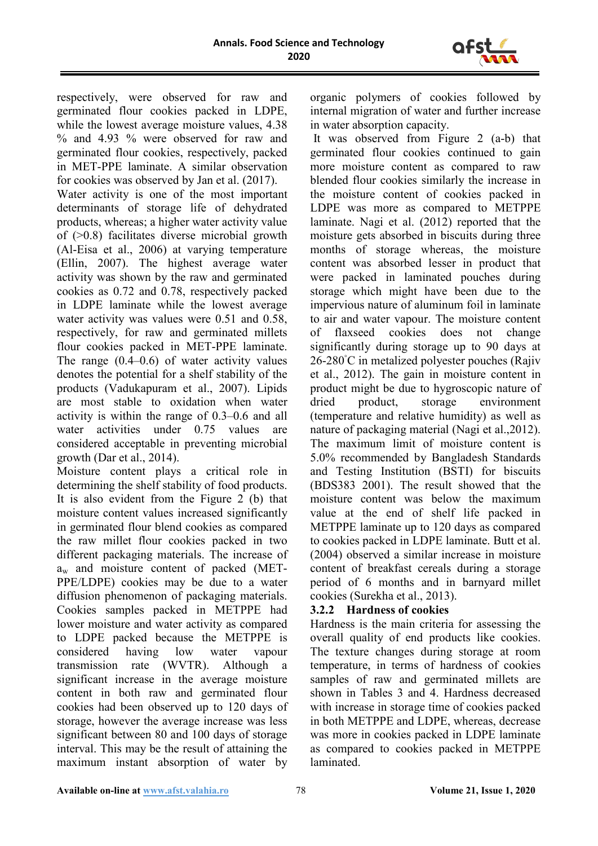

respectively, were observed for raw and germinated flour cookies packed in LDPE, while the lowest average moisture values, 4.38 % and 4.93 % were observed for raw and germinated flour cookies, respectively, packed in MET-PPE laminate. A similar observation for cookies was observed by Jan et al. (2017). Water activity is one of the most important determinants of storage life of dehydrated products, whereas; a higher water activity value of (>0.8) facilitates diverse microbial growth (Al-Eisa et al., 2006) at varying temperature (Ellin, 2007). The highest average water activity was shown by the raw and germinated cookies as 0.72 and 0.78, respectively packed in LDPE laminate while the lowest average water activity was values were 0.51 and 0.58, respectively, for raw and germinated millets flour cookies packed in MET-PPE laminate. The range (0.4–0.6) of water activity values denotes the potential for a shelf stability of the products (Vadukapuram et al., 2007). Lipids are most stable to oxidation when water activity is within the range of 0.3–0.6 and all water activities under 0.75 values are considered acceptable in preventing microbial growth (Dar et al., 2014).

Moisture content plays a critical role in determining the shelf stability of food products. It is also evident from the Figure 2 (b) that moisture content values increased significantly in germinated flour blend cookies as compared the raw millet flour cookies packed in two different packaging materials. The increase of  $a_w$  and moisture content of packed (MET-PPE/LDPE) cookies may be due to a water diffusion phenomenon of packaging materials. Cookies samples packed in METPPE had lower moisture and water activity as compared to LDPE packed because the METPPE is considered having low water vapour transmission rate (WVTR). Although a significant increase in the average moisture content in both raw and germinated flour cookies had been observed up to 120 days of storage, however the average increase was less significant between 80 and 100 days of storage interval. This may be the result of attaining the maximum instant absorption of water by

organic polymers of cookies followed by internal migration of water and further increase in water absorption capacity.

It was observed from Figure 2 (a-b) that germinated flour cookies continued to gain more moisture content as compared to raw blended flour cookies similarly the increase in the moisture content of cookies packed in LDPE was more as compared to METPPE laminate. Nagi et al. (2012) reported that the moisture gets absorbed in biscuits during three months of storage whereas, the moisture content was absorbed lesser in product that were packed in laminated pouches during storage which might have been due to the impervious nature of aluminum foil in laminate to air and water vapour. The moisture content of flaxseed cookies does not change significantly during storage up to 90 days at 26-280◦ C in metalized polyester pouches (Rajiv et al., 2012). The gain in moisture content in product might be due to hygroscopic nature of dried product, storage environment (temperature and relative humidity) as well as nature of packaging material (Nagi et al.,2012). The maximum limit of moisture content is 5.0% recommended by Bangladesh Standards and Testing Institution (BSTI) for biscuits (BDS383 2001). The result showed that the moisture content was below the maximum value at the end of shelf life packed in METPPE laminate up to 120 days as compared to cookies packed in LDPE laminate. Butt et al. (2004) observed a similar increase in moisture content of breakfast cereals during a storage period of 6 months and in barnyard millet cookies (Surekha et al., 2013).

# **3.2.2 Hardness of cookies**

Hardness is the main criteria for assessing the overall quality of end products like cookies. The texture changes during storage at room temperature, in terms of hardness of cookies samples of raw and germinated millets are shown in Tables 3 and 4. Hardness decreased with increase in storage time of cookies packed in both METPPE and LDPE, whereas, decrease was more in cookies packed in LDPE laminate as compared to cookies packed in METPPE laminated.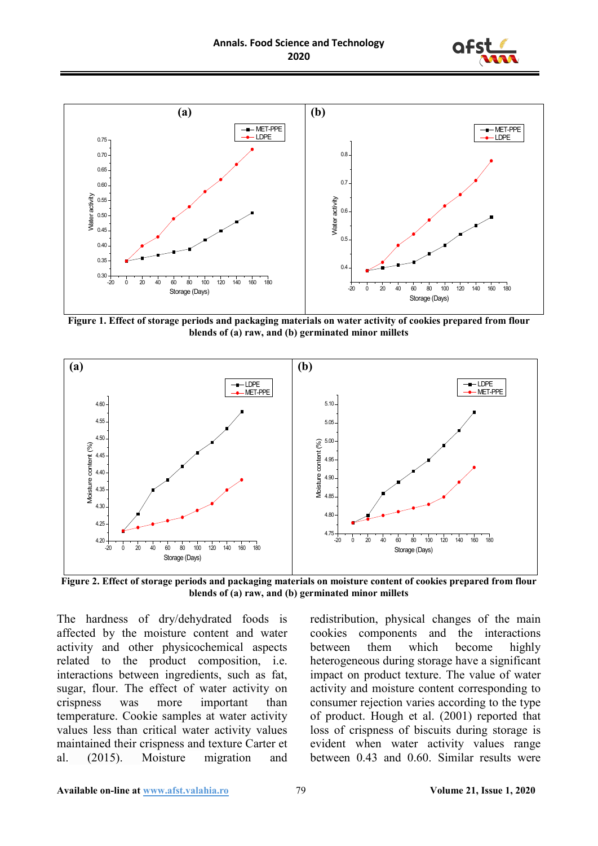



**Figure 1. Effect of storage periods and packaging materials on water activity of cookies prepared from flour blends of (a) raw, and (b) germinated minor millets**



**Figure 2. Effect of storage periods and packaging materials on moisture content of cookies prepared from flour blends of (a) raw, and (b) germinated minor millets**

The hardness of dry/dehydrated foods is affected by the moisture content and water activity and other physicochemical aspects related to the product composition, i.e. interactions between ingredients, such as fat, sugar, flour. The effect of water activity on crispness was more important than temperature. Cookie samples at water activity values less than critical water activity values maintained their crispness and texture Carter et al. (2015). Moisture migration and redistribution, physical changes of the main cookies components and the interactions between them which become highly heterogeneous during storage have a significant impact on product texture. The value of water activity and moisture content corresponding to consumer rejection varies according to the type of product. Hough et al. (2001) reported that loss of crispness of biscuits during storage is evident when water activity values range between 0.43 and 0.60. Similar results were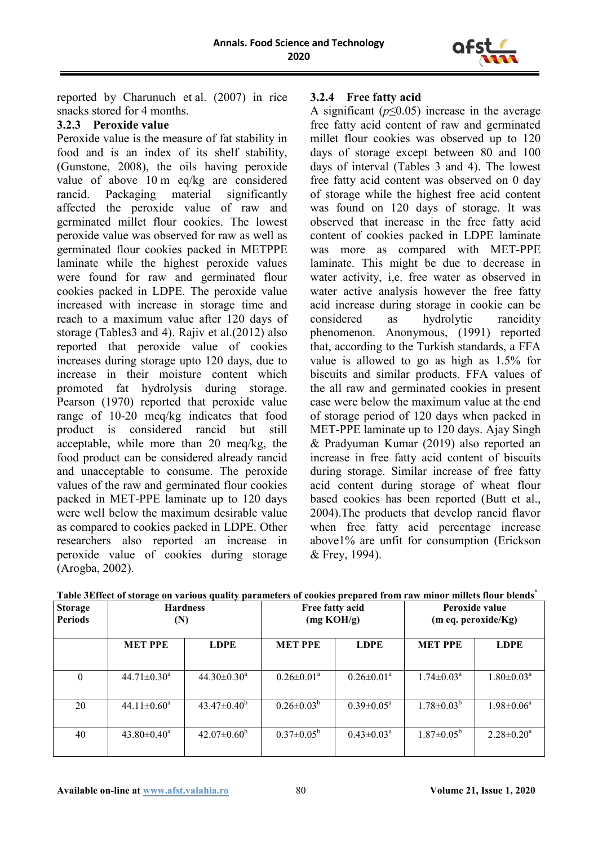

reported by Charunuch et al. (2007) in rice snacks stored for 4 months.

# **3.2.3 Peroxide value**

Peroxide value is the measure of fat stability in food and is an index of its shelf stability, (Gunstone, 2008), the oils having peroxide value of above 10 m eq/kg are considered<br>rancid. Packaging material significantly rancid. Packaging material affected the peroxide value of raw and germinated millet flour cookies. The lowest peroxide value was observed for raw as well as germinated flour cookies packed in METPPE laminate while the highest peroxide values were found for raw and germinated flour cookies packed in LDPE. The peroxide value increased with increase in storage time and reach to a maximum value after 120 days of storage (Tables3 and 4). Rajiv et al.(2012) also reported that peroxide value of cookies increases during storage upto 120 days, due to increase in their moisture content which promoted fat hydrolysis during storage. Pearson (1970) reported that peroxide value range of 10-20 meq/kg indicates that food product is considered rancid but still acceptable, while more than 20 meq/kg, the food product can be considered already rancid and unacceptable to consume. The peroxide values of the raw and germinated flour cookies packed in MET-PPE laminate up to 120 days were well below the maximum desirable value as compared to cookies packed in LDPE. Other researchers also reported an increase in peroxide value of cookies during storage (Arogba, 2002).

# **3.2.4 Free fatty acid**

A significant  $(p \le 0.05)$  increase in the average free fatty acid content of raw and germinated millet flour cookies was observed up to 120 days of storage except between 80 and 100 days of interval (Tables 3 and 4). The lowest free fatty acid content was observed on 0 day of storage while the highest free acid content was found on 120 days of storage. It was observed that increase in the free fatty acid content of cookies packed in LDPE laminate was more as compared with MET-PPE laminate. This might be due to decrease in water activity, i,e. free water as observed in water active analysis however the free fatty acid increase during storage in cookie can be considered as hydrolytic rancidity phenomenon. Anonymous, (1991) reported that, according to the Turkish standards, a FFA value is allowed to go as high as 1.5% for biscuits and similar products. FFA values of the all raw and germinated cookies in present case were below the maximum value at the end of storage period of 120 days when packed in MET-PPE laminate up to 120 days. Ajay Singh & Pradyuman Kumar (2019) also reported an increase in free fatty acid content of biscuits during storage. Similar increase of free fatty acid content during storage of wheat flour based cookies has been reported (Butt et al., 2004).The products that develop rancid flavor when free fatty acid percentage increase above1% are unfit for consumption (Erickson & Frey, 1994).

| <b>Storage</b><br><b>Periods</b> | <b>Hardness</b><br>(N) |                          | Free fatty acid<br>(mg KOH/g) |                            | Peroxide value<br>(m eq. peroxide/Kg) |                              |  |
|----------------------------------|------------------------|--------------------------|-------------------------------|----------------------------|---------------------------------------|------------------------------|--|
|                                  | <b>MET PPE</b>         | <b>LDPE</b>              | <b>MET PPE</b>                | <b>LDPE</b>                | <b>MET PPE</b>                        | <b>LDPE</b>                  |  |
| $\theta$                         | $44.71 \pm 0.30^a$     | $44.30 \pm 0.30^a$       | $0.26 \pm 0.01^{\text{a}}$    | $0.26 \pm 0.01^{\text{a}}$ | $1.74 \pm 0.03^{\text{a}}$            | $1.80 \pm 0.03^{\text{a}}$   |  |
| 20                               | $44.11 \pm 0.60^a$     | $43.47 \pm 0.40^{\circ}$ | $0.26 \pm 0.03^b$             | $0.39 \pm 0.05^{\text{a}}$ | $1.78 \pm 0.03^b$                     | $1.98 \pm 0.06^{\mathrm{a}}$ |  |
| 40                               | $43.80 \pm 0.40^a$     | $42.07 \pm 0.60^{\circ}$ | $0.37 \pm 0.05^{\rm b}$       | $0.43 \pm 0.03^{\text{a}}$ | $1.87 \pm 0.05^{\circ}$               | $2.28 \pm 0.20^a$            |  |

## **Table 3Effect of storage on various quality parameters of cookies prepared from raw minor millets flour blends\***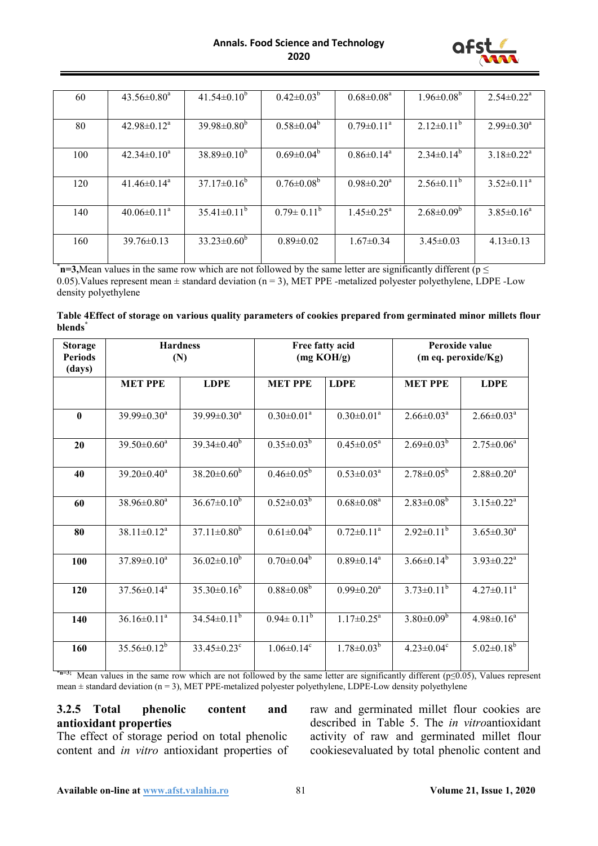#### **Annals. Food Science and Technology 2020**



| 60  | $43.56 \pm 0.80^{\circ}$ | $41.54 \pm 0.10^b$       | $0.42 \pm 0.03^b$       | $0.68 \pm 0.08^a$            | $1.96 \pm 0.08^b$ | $2.54 \pm 0.22^{\mathrm{a}}$ |
|-----|--------------------------|--------------------------|-------------------------|------------------------------|-------------------|------------------------------|
| 80  | $42.98 \pm 0.12^a$       | $39.98 \pm 0.80^{\circ}$ | $0.58 \pm 0.04^{\circ}$ | $0.79 \pm 0.11^{\circ}$      | $2.12 \pm 0.11^b$ | $2.99 \pm 0.30^a$            |
| 100 | $42.34 \pm 0.10^a$       | $38.89 \pm 0.10^b$       | $0.69 \pm 0.04^b$       | $0.86 \pm 0.14$ <sup>a</sup> | $2.34\pm0.14^b$   | $3.18 \pm 0.22^{\text{a}}$   |
| 120 | $41.46\pm0.14^a$         | $37.17\pm0.16^{\circ}$   | $0.76 \pm 0.08^b$       | $0.98 \pm 0.20^a$            | $2.56 \pm 0.11^b$ | $3.52 \pm 0.11^a$            |
| 140 | $40.06 \pm 0.11^{\circ}$ | $35.41 \pm 0.11^b$       | $0.79 \pm 0.11^{\circ}$ | $1.45 \pm 0.25^{\text{a}}$   | $2.68 \pm 0.09^b$ | $3.85 \pm 0.16^a$            |
| 160 | $39.76 \pm 0.13$         | $33.23 \pm 0.60^{\circ}$ | $0.89 \pm 0.02$         | $1.67 \pm 0.34$              | $3.45 \pm 0.03$   | $4.13 \pm 0.13$              |

**\* n=3,**Mean values in the same row which are not followed by the same letter are significantly different (p ≤ 0.05).Values represent mean ± standard deviation (n = 3), MET PPE *-*metalized polyester polyethylene, LDPE *-*Low density polyethylene

|                     |  | Table 4Effect of storage on various quality parameters of cookies prepared from germinated minor millets flour |
|---------------------|--|----------------------------------------------------------------------------------------------------------------|
| blends <sup>*</sup> |  |                                                                                                                |

| <b>Storage</b><br><b>Periods</b><br>(days) | <b>Hardness</b><br>(N)   |                               | Free fatty acid                | (mg KOH/g)                   | Peroxide value<br>(m eq. peroxide/Kg) |                              |  |
|--------------------------------------------|--------------------------|-------------------------------|--------------------------------|------------------------------|---------------------------------------|------------------------------|--|
|                                            | <b>MET PPE</b>           | <b>LDPE</b>                   | <b>MET PPE</b>                 | <b>LDPE</b>                  | <b>MET PPE</b>                        | <b>LDPE</b>                  |  |
| $\mathbf{0}$                               | $39.99 \pm 0.30^a$       | $39.99 \pm 0.30^a$            | $0.30 \pm 0.01^a$              | $0.30 \pm 0.01^a$            | $2.66 \pm 0.03^{\text{a}}$            | $2.66 \pm 0.03^{\text{a}}$   |  |
| 20                                         | $39.50 \pm 0.60^{\circ}$ | $39.34 \pm 0.40^b$            | $0.35 \pm 0.03^b$              | $0.45 \pm 0.05^a$            | $2.69 \pm 0.03^b$                     | $2.75 \pm 0.06^a$            |  |
| 40                                         | $39.20 \pm 0.40^a$       | $38.20 \pm 0.60^b$            | $0.46 \pm 0.05^{\rm b}$        | $0.53 \pm 0.03^{\text{a}}$   | $2.78 \pm 0.05^{\rm b}$               | $2.88 \pm 0.20^a$            |  |
| 60                                         | $38.96 \pm 0.80^a$       | $36.67 \pm 0.10^b$            | $0.52 \pm 0.03^b$              | $0.68 \pm 0.08^a$            | $2.83 \pm 0.08^b$                     | $3.15 \pm 0.22^a$            |  |
| 80                                         | $38.11 \pm 0.12^a$       | $37.11 \pm 0.80^b$            | $0.61 \pm 0.04$                | $0.72 \pm 0.11^a$            | $2.92 \pm 0.11^b$                     | $3.65 \pm 0.30^a$            |  |
| 100                                        | $37.89 \pm 0.10^a$       | $36.02 \pm 0.10^b$            | $0.70 \pm 0.04^b$              | $0.89 \pm 0.14$ <sup>a</sup> | $3.66 \pm 0.14^b$                     | $3.93 \pm 0.22$ <sup>a</sup> |  |
| 120                                        | $37.56 \pm 0.14^a$       | $35.30\pm0.16^b$              | $0.88 \pm 0.08^b$              | $0.99 \pm 0.20$ <sup>a</sup> | $3.73 \pm 0.11^b$                     | $4.27 \pm 0.11^a$            |  |
| 140                                        | $36.16 \pm 0.11^a$       | $34.54 \pm 0.11^b$            | $0.94 \pm 0.11^{\overline{b}}$ | $1.17 \pm 0.25$ <sup>a</sup> | $3.80 \pm 0.09^b$                     | $4.98 \pm 0.16^a$            |  |
| 160                                        | $35.56 \pm 0.12^b$       | $33.45 \pm 0.23$ <sup>c</sup> | $1.06 \pm 0.14$ <sup>c</sup>   | $1.78 \pm 0.03^b$            | $4.23 \pm 0.04$ °                     | $5.02 \pm 0.18^b$            |  |

**\*n=3;** Mean values in the same row which are not followed by the same letter are significantly different (p≤0.05), Values represent mean ± standard deviation (n = 3), MET PPE-metalized polyester polyethylene, LDPE-Low density polyethylene

## **3.2.5 Total phenolic content and antioxidant properties**

The effect of storage period on total phenolic content and *in vitro* antioxidant properties of raw and germinated millet flour cookies are described in Table 5. The *in vitro*antioxidant activity of raw and germinated millet flour cookiesevaluated by total phenolic content and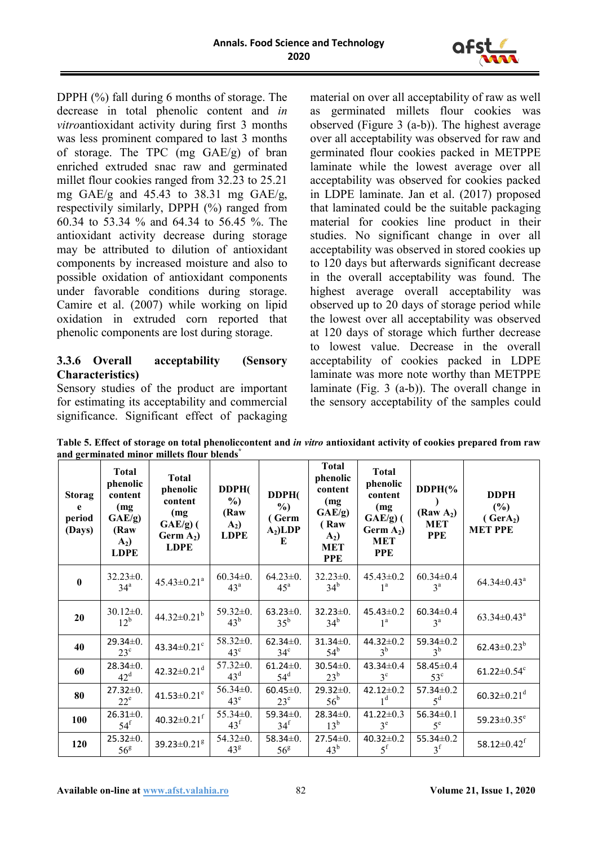

DPPH (%) fall during 6 months of storage. The decrease in total phenolic content and *in vitro*antioxidant activity during first 3 months was less prominent compared to last 3 months of storage. The TPC (mg GAE/g) of bran enriched extruded snac raw and germinated millet flour cookies ranged from 32.23 to 25.21 mg GAE/g and 45.43 to 38.31 mg GAE/g, respectivily similarly, DPPH (%) ranged from 60.34 to 53.34 % and 64.34 to 56.45 %. The antioxidant activity decrease during storage may be attributed to dilution of antioxidant components by increased moisture and also to possible oxidation of antioxidant components under favorable conditions during storage. Camire et al. (2007) while working on lipid oxidation in extruded corn reported that phenolic components are lost during storage.

# **3.3.6 Overall acceptability (Sensory Characteristics)**

Sensory studies of the product are important for estimating its acceptability and commercial significance. Significant effect of packaging material on over all acceptability of raw as well as germinated millets flour cookies was observed (Figure 3 (a-b)). The highest average over all acceptability was observed for raw and germinated flour cookies packed in METPPE laminate while the lowest average over all acceptability was observed for cookies packed in LDPE laminate. Jan et al. (2017) proposed that laminated could be the suitable packaging material for cookies line product in their studies. No significant change in over all acceptability was observed in stored cookies up to 120 days but afterwards significant decrease in the overall acceptability was found. The highest average overall acceptability was observed up to 20 days of storage period while the lowest over all acceptability was observed at 120 days of storage which further decrease to lowest value. Decrease in the overall acceptability of cookies packed in LDPE laminate was more note worthy than METPPE laminate (Fig. 3 (a-b)). The overall change in the sensory acceptability of the samples could

**Table 5. Effect of storage on total phenoliccontent and** *in vitro* **antioxidant activity of cookies prepared from raw**  and germinated minor millets flour blends<sup>\*</sup>

| <b>Storag</b><br>e<br>period<br>(Days) | <b>Total</b><br>phenolic<br>content<br>(mg)<br>$GAE/g$ )<br>(Raw<br>$A_2$<br><b>LDPE</b> | <b>Total</b><br>phenolic<br>content<br>(mg)<br>$GAE/g$ ) (<br>Germ $A_2$ )<br><b>LDPE</b> | DDPH(<br>$\%$ )<br>(Raw<br>$A_2$<br><b>LDPE</b> | DDPH(<br>$\%$ )<br>(Germ<br>$A_2$ ) $LDP$<br>E | <b>Total</b><br>phenolic<br>content<br>(mg<br>$GAE/g$ )<br>(Raw<br>$A_2$<br><b>MET</b><br><b>PPE</b> | <b>Total</b><br>phenolic<br>content<br>(mg<br>$GAE/g$ ) (<br>Germ $A_2$ )<br><b>MET</b><br><b>PPE</b> | $DDPH$ (%<br>(Raw A <sub>2</sub> )<br><b>MET</b><br><b>PPE</b> | <b>DDPH</b><br>(%)<br>(Ger A <sub>2</sub> )<br><b>MET PPE</b> |
|----------------------------------------|------------------------------------------------------------------------------------------|-------------------------------------------------------------------------------------------|-------------------------------------------------|------------------------------------------------|------------------------------------------------------------------------------------------------------|-------------------------------------------------------------------------------------------------------|----------------------------------------------------------------|---------------------------------------------------------------|
| $\bf{0}$                               | $32.23 \pm 0.$<br>34 <sup>a</sup>                                                        | $45.43 \pm 0.21$ <sup>a</sup>                                                             | $60.34 \pm 0.$<br>43 <sup>a</sup>               | $64.23 \pm 0.$<br>$45^{\mathrm{a}}$            | $32.23 \pm 0.$<br>34 <sup>b</sup>                                                                    | $45.43 \pm 0.2$<br>1 <sup>a</sup>                                                                     | $60.34 \pm 0.4$<br>$3^a$                                       | $64.34 \pm 0.43$ <sup>a</sup>                                 |
| 20                                     | $30.12 \pm 0.$<br>$12^b$                                                                 | $44.32 \pm 0.21^b$                                                                        | $59.32 \pm 0.$<br>$43^{\rm b}$                  | $63.23 \pm 0.$<br>$35^{\rm b}$                 | $32.23 \pm 0.$<br>$34^{\rm b}$                                                                       | $45.43 \pm 0.2$<br>1 <sup>a</sup>                                                                     | 60.34 $\pm$ 0.4<br>$3^a$                                       | $63.34 \pm 0.43^a$                                            |
| 40                                     | $29.34 \pm 0.$<br>$23^{\circ}$                                                           | 43.34 $\pm$ 0.21 $\rm ^{c}$                                                               | $58.32 \pm 0.$<br>$43^{\circ}$                  | $62.34 \pm 0.$<br>34 <sup>c</sup>              | $31.34 \pm 0.$<br>$54^{\rm b}$                                                                       | 44.32 $\pm$ 0.2<br>$3^{\rm b}$                                                                        | 59.34 $\pm$ 0.2<br>$3^b$                                       | 62.43 $\pm$ 0.23 <sup>b</sup>                                 |
| 60                                     | $28.34 \pm 0.$<br>$42^d$                                                                 | 42.32 $\pm$ 0.21 <sup>d</sup>                                                             | $57.32 \pm 0.$<br>$43^d$                        | $61.24 \pm 0.$<br>$54^d$                       | $30.54 \pm 0.$<br>$23^{\rm b}$                                                                       | 43.34 $\pm$ 0.4<br>$3^{\circ}$                                                                        | 58.45 $\pm$ 0.4<br>$53^{\circ}$                                | 61.22 $\pm$ 0.54 $\rm{^c}$                                    |
| 80                                     | $27.32 \pm 0.$<br>$22^e$                                                                 | 41.53 $\pm$ 0.21 $^{\rm e}$                                                               | $56.34 \pm 0.$<br>$43^{\circ}$                  | $60.45 \pm 0.$<br>$23^e$                       | $29.32 \pm 0.$<br>$56^{\rm b}$                                                                       | $42.12 \pm 0.2$<br>1 <sup>d</sup>                                                                     | $57.34 \pm 0.2$<br>$5^d$                                       | $60.32 \pm 0.21$ <sup>d</sup>                                 |
| 100                                    | $26.31 \pm 0.$<br>$54^{\mathrm{f}}$                                                      | 40.32 $\pm$ 0.21 $^{\rm f}$                                                               | $55.34 \pm 0.$<br>$43^{\mathrm{f}}$             | 59.34 $\pm$ 0.<br>34 <sup>f</sup>              | $28.34 \pm 0.$<br>$13^{\rm b}$                                                                       | $41.22 \pm 0.3$<br>$3^e$                                                                              | $56.34 \pm 0.1$<br>$5^{\rm e}$                                 | 59.23 $\pm$ 0.35 $^{\circ}$                                   |
| 120                                    | $25.32 \pm 0.$<br>56 <sup>g</sup>                                                        | 39.23±0.21 <sup>g</sup>                                                                   | $54.32 \pm 0.$<br>43 <sup>g</sup>               | 58.34 $\pm$ 0.<br>56 <sup>g</sup>              | $27.54 \pm 0.$<br>43 <sup>b</sup>                                                                    | $40.32 \pm 0.2$<br>$5^{\rm f}$                                                                        | 55.34 $\pm$ 0.2<br>3 <sup>f</sup>                              | 58.12 $\pm$ 0.42 <sup>f</sup>                                 |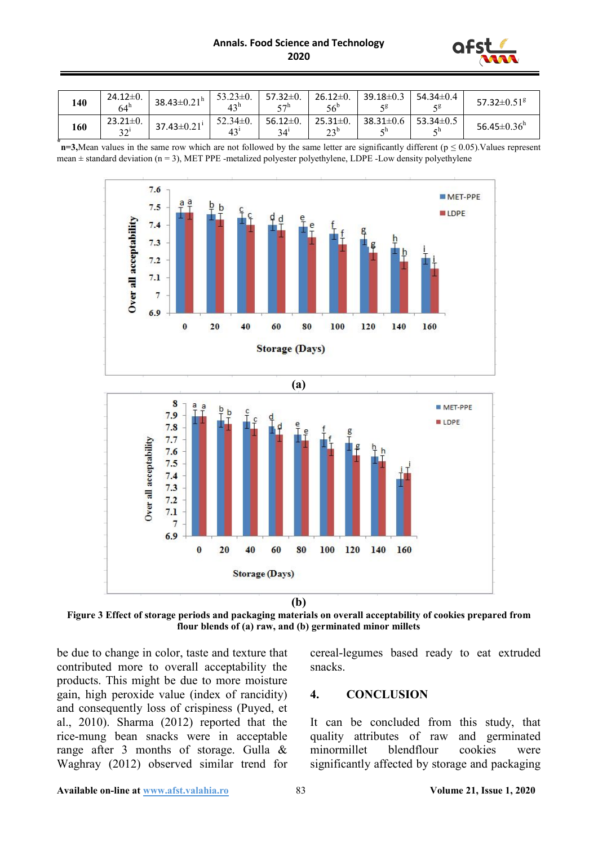

| 140 | $24.12 \pm 0.$<br>$64^h$ | 38.43 $\pm$ 0.21 <sup>h</sup> | $53.23 \pm 0.$<br>$43^h$ | 57.32 $\pm$ 0.<br>$\epsilon$ $\tau$ h | $26.12 \pm 0.$<br>56°                 | $39.18 \pm 0.3$       | 54.34 $\pm$ 0.4       | 57.32 $\pm$ 0.51 $8$          |
|-----|--------------------------|-------------------------------|--------------------------|---------------------------------------|---------------------------------------|-----------------------|-----------------------|-------------------------------|
| 160 | $23.21 \pm 0.$<br>32     | $37.43 \pm 0.21$ <sup>1</sup> | $52.34 \pm 0.$<br>43     | $56.12 \pm 0.$<br>34'                 | $25.31 \pm 0.$<br>へっり<br>, <u>, ,</u> | 38.31 $\pm$ 0.6<br>σn | 53.34 $\pm$ 0.5<br>σn | 56.45 $\pm$ 0.36 <sup>h</sup> |

**\* n=3,**Mean values in the same row which are not followed by the same letter are significantly different (p ≤ 0.05).Values represent mean ± standard deviation (n = 3), MET PPE *-*metalized polyester polyethylene, LDPE *-*Low density polyethylene



**(b)**

**Figure 3 Effect of storage periods and packaging materials on overall acceptability of cookies prepared from flour blends of (a) raw, and (b) germinated minor millets**

be due to change in color, taste and texture that contributed more to overall acceptability the products. This might be due to more moisture gain, high peroxide value (index of rancidity) and consequently loss of crispiness (Puyed, et al., 2010). Sharma (2012) reported that the rice-mung bean snacks were in acceptable range after 3 months of storage. Gulla & Waghray (2012) observed similar trend for cereal-legumes based ready to eat extruded snacks.

## **4. CONCLUSION**

It can be concluded from this study, that quality attributes of raw and germinated minormillet blendflour cookies were significantly affected by storage and packaging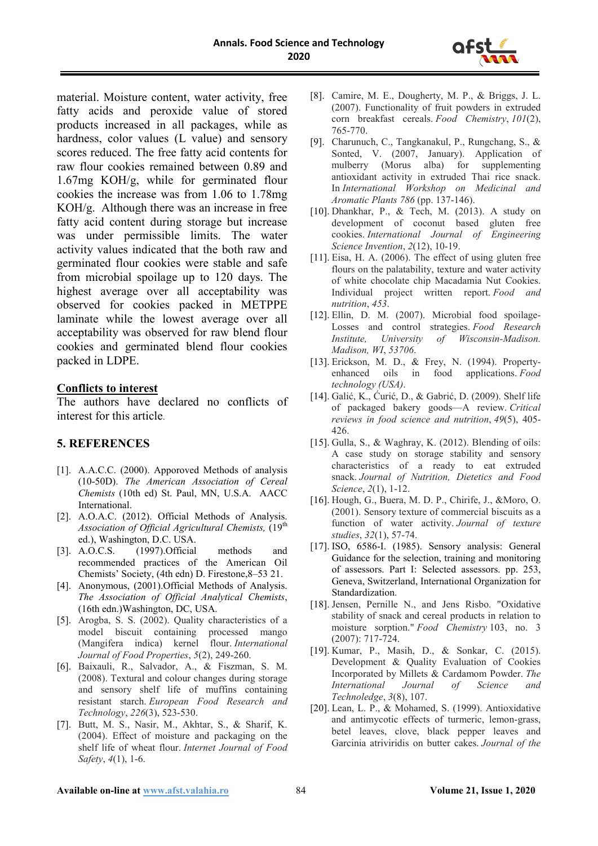

material. Moisture content, water activity, free fatty acids and peroxide value of stored products increased in all packages, while as hardness, color values (L value) and sensory scores reduced. The free fatty acid contents for raw flour cookies remained between 0.89 and 1.67mg KOH/g, while for germinated flour cookies the increase was from 1.06 to 1.78mg KOH/g. Although there was an increase in free fatty acid content during storage but increase was under permissible limits. The water activity values indicated that the both raw and germinated flour cookies were stable and safe from microbial spoilage up to 120 days. The highest average over all acceptability was observed for cookies packed in METPPE laminate while the lowest average over all acceptability was observed for raw blend flour cookies and germinated blend flour cookies packed in LDPE.

#### **Conflicts to interest**

The authors have declared no conflicts of interest for this article.

## **5. REFERENCES**

- [1]. A.A.C.C. (2000). Apporoved Methods of analysis (10-50D). *The American Association of Cereal Chemists* (10th ed) St. Paul, MN, U.S.A. AACC International.
- [2]. A.O.A.C. (2012). Official Methods of Analysis. Association of Official Agricultural Chemists, (19<sup>th</sup>) ed.), Washington, D.C. USA.
- [3]. A.O.C.S. (1997).Official methods and recommended practices of the American Oil Chemists' Society, (4th edn) D. Firestone,8–53 21.
- [4]. Anonymous, (2001).Official Methods of Analysis. *The Association of Official Analytical Chemists*, (16th edn.)Washington, DC, USA.
- [5]. Arogba, S. S. (2002). Quality characteristics of a model biscuit containing processed mango (Mangifera indica) kernel flour. *International Journal of Food Properties*, *5*(2), 249-260.
- [6]. Baixauli, R., Salvador, A., & Fiszman, S. M. (2008). Textural and colour changes during storage and sensory shelf life of muffins containing resistant starch. *European Food Research and Technology*, *226*(3), 523-530.
- [7]. Butt, M. S., Nasir, M., Akhtar, S., & Sharif, K. (2004). Effect of moisture and packaging on the shelf life of wheat flour. *Internet Journal of Food Safety*, *4*(1), 1-6.
- [8]. Camire, M. E., Dougherty, M. P., & Briggs, J. L. (2007). Functionality of fruit powders in extruded corn breakfast cereals. *Food Chemistry*, *101*(2), 765-770.
- [9]. Charunuch, C., Tangkanakul, P., Rungchang, S., & Sonted, V. (2007, January). Application of mulberry (Morus alba) for supplementing antioxidant activity in extruded Thai rice snack. In *International Workshop on Medicinal and Aromatic Plants 786* (pp. 137-146).
- [10]. Dhankhar, P., & Tech, M. (2013). A study on development of coconut based gluten free cookies. *International Journal of Engineering Science Invention*, *2*(12), 10-19.
- [11]. Eisa, H. A. (2006). The effect of using gluten free flours on the palatability, texture and water activity of white chocolate chip Macadamia Nut Cookies. Individual project written report. *Food and nutrition*, *453*.
- [12]. Ellin, D. M. (2007). Microbial food spoilage-Losses and control strategies. *Food Research Institute, University of Wisconsin-Madison. Madison, WI*, *53706*.
- [13]. Erickson, M. D., & Frey, N. (1994). Propertyenhanced oils in food applications. *Food technology (USA)*.
- [14]. Galić, K., Ćurić, D., & Gabrić, D. (2009). Shelf life of packaged bakery goods—A review. *Critical reviews in food science and nutrition*, *49*(5), 405- 426.
- [15]. Gulla, S., & Waghray, K.  $(2012)$ . Blending of oils: A case study on storage stability and sensory characteristics of a ready to eat extruded snack. *Journal of Nutrition, Dietetics and Food Science*, *2*(1), 1-12.
- [16]. Hough, G., Buera, M. D. P., Chirife, J., &Moro, O. (2001). Sensory texture of commercial biscuits as a function of water activity. *Journal of texture studies*, *32*(1), 57-74.
- [17]. ISO, 6586-I. (1985). Sensory analysis: General Guidance for the selection, training and monitoring of assessors. Part I: Selected assessors. pp. 253, Geneva, Switzerland, International Organization for Standardization.
- [18]. Jensen, Pernille N., and Jens Risbo. "Oxidative stability of snack and cereal products in relation to moisture sorption." *Food Chemistry* 103, no. 3 (2007): 717-724.
- [19]. Kumar, P., Masih, D., & Sonkar, C. (2015). Development & Quality Evaluation of Cookies Incorporated by Millets & Cardamom Powder. *The International Journal of Science and Technoledge*, *3*(8), 107.
- [20]. Lean, L. P., & Mohamed, S. (1999). Antioxidative and antimycotic effects of turmeric, lemon‐grass, betel leaves, clove, black pepper leaves and Garcinia atriviridis on butter cakes. *Journal of the*